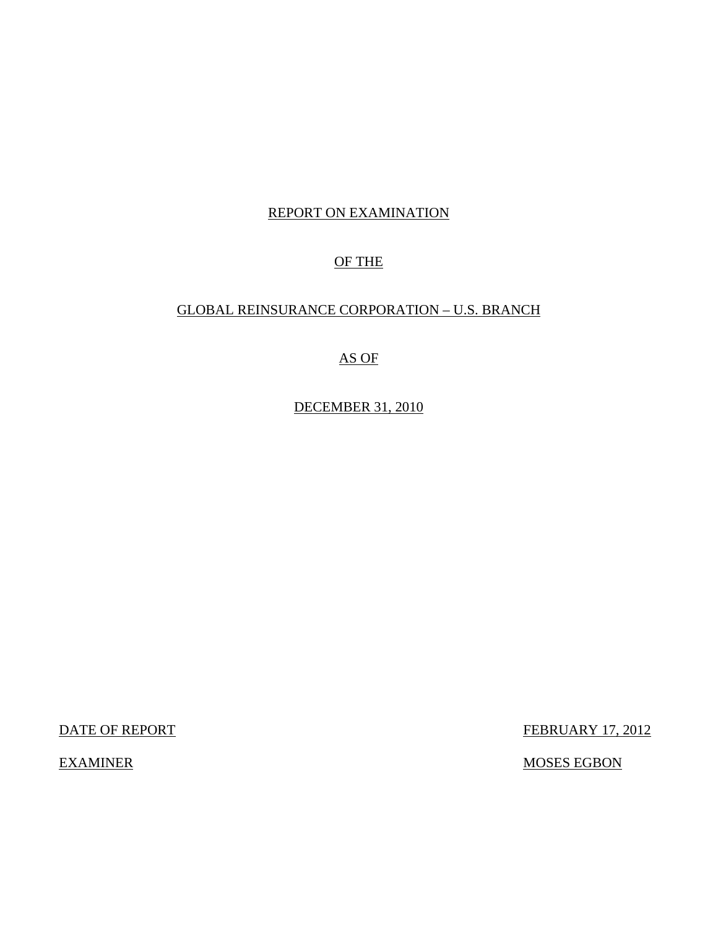## REPORT ON EXAMINATION

## OF THE

## GLOBAL REINSURANCE CORPORATION – U.S. BRANCH

# AS OF

DECEMBER 31, 2010

**DATE OF REPORT FEBRUARY 17, 2012** 

EXAMINER MOSES EGBON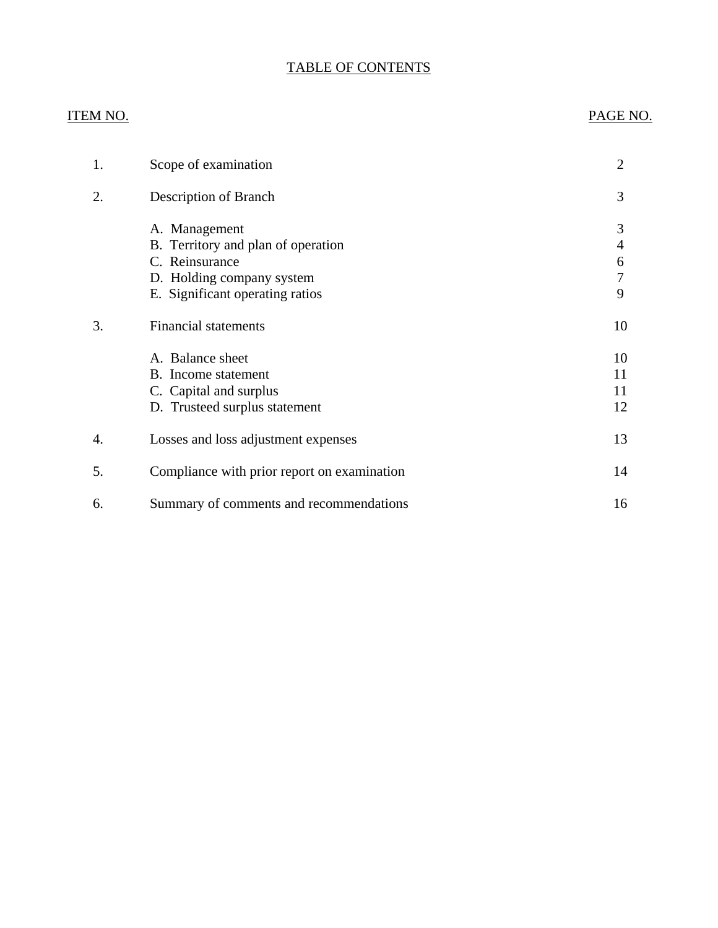# TABLE OF CONTENTS

## ITEM NO. PAGE NO.

| 1. | Scope of examination                                                                                                                  | $\overline{2}$        |
|----|---------------------------------------------------------------------------------------------------------------------------------------|-----------------------|
| 2. | Description of Branch                                                                                                                 | 3                     |
|    | A. Management<br>B. Territory and plan of operation<br>C. Reinsurance<br>D. Holding company system<br>E. Significant operating ratios | 3<br>4<br>6<br>7<br>9 |
| 3. | <b>Financial statements</b>                                                                                                           | 10                    |
|    | A. Balance sheet<br>B. Income statement<br>C. Capital and surplus<br>D. Trusteed surplus statement                                    | 10<br>11<br>11<br>12  |
| 4. | Losses and loss adjustment expenses                                                                                                   | 13                    |
| 5. | Compliance with prior report on examination                                                                                           | 14                    |
| 6. | Summary of comments and recommendations                                                                                               | 16                    |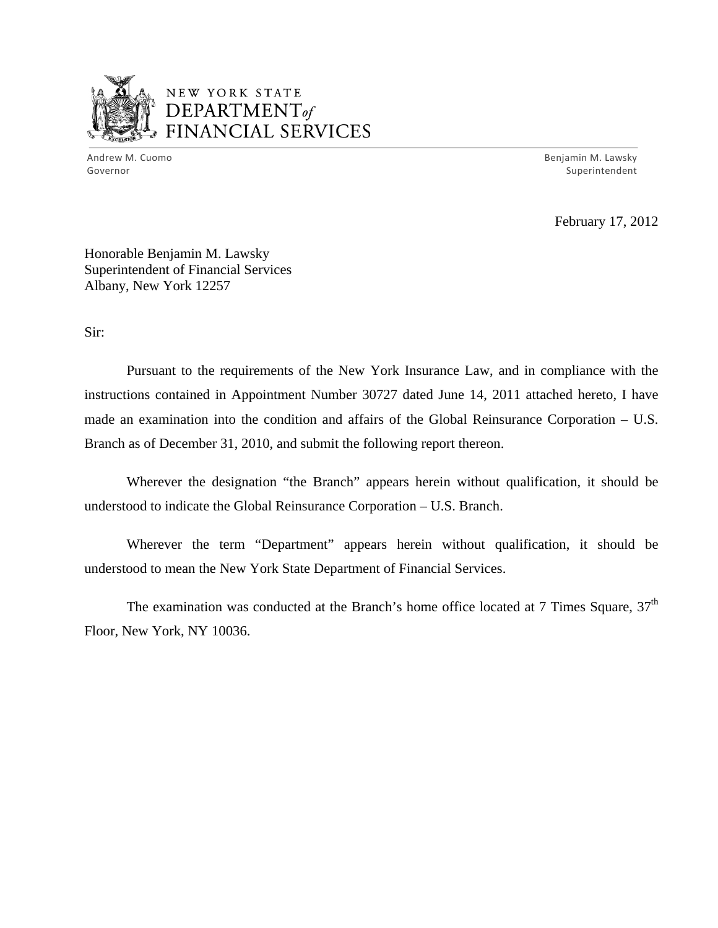

# NEW YORK STATE DEPARTMENTof *~,........,,* FINANCIAL SERVICES

Andrew M. Cuomo **Benjamin M. Lawsky** Governor Superintendent Superintendent Superintendent Superintendent Superintendent Superintendent Superintendent

February 17, 2012

Honorable Benjamin M. Lawsky Superintendent of Financial Services Albany, New York 12257

Sir:

Pursuant to the requirements of the New York Insurance Law, and in compliance with the instructions contained in Appointment Number 30727 dated June 14, 2011 attached hereto, I have made an examination into the condition and affairs of the Global Reinsurance Corporation – U.S. Branch as of December 31, 2010, and submit the following report thereon.

Wherever the designation "the Branch" appears herein without qualification, it should be understood to indicate the Global Reinsurance Corporation – U.S. Branch.

Wherever the term "Department" appears herein without qualification, it should be understood to mean the New York State Department of Financial Services.

The examination was conducted at the Branch's home office located at 7 Times Square,  $37<sup>th</sup>$ Floor, New York, NY 10036.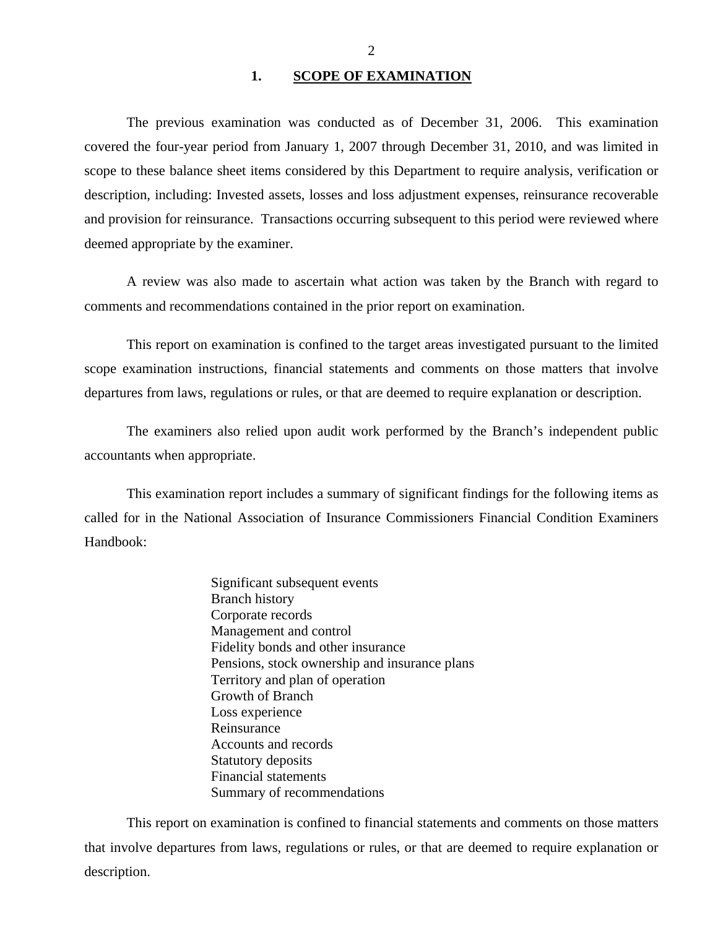## 1. SCOPE OF EXAMINATION

<span id="page-3-0"></span>The previous examination was conducted as of December 31, 2006. This examination covered the four-year period from January 1, 2007 through December 31, 2010, and was limited in scope to these balance sheet items considered by this Department to require analysis, verification or description, including: Invested assets, losses and loss adjustment expenses, reinsurance recoverable and provision for reinsurance. Transactions occurring subsequent to this period were reviewed where deemed appropriate by the examiner.

A review was also made to ascertain what action was taken by the Branch with regard to comments and recommendations contained in the prior report on examination.

This report on examination is confined to the target areas investigated pursuant to the limited scope examination instructions, financial statements and comments on those matters that involve departures from laws, regulations or rules, or that are deemed to require explanation or description.

The examiners also relied upon audit work performed by the Branch's independent public accountants when appropriate.

This examination report includes a summary of significant findings for the following items as called for in the National Association of Insurance Commissioners Financial Condition Examiners Handbook:

> Significant subsequent events Branch history Corporate records Management and control Fidelity bonds and other insurance Pensions, stock ownership and insurance plans Territory and plan of operation Growth of Branch Loss experience Reinsurance Accounts and records Statutory deposits Financial statements Summary of recommendations

This report on examination is confined to financial statements and comments on those matters that involve departures from laws, regulations or rules, or that are deemed to require explanation or description.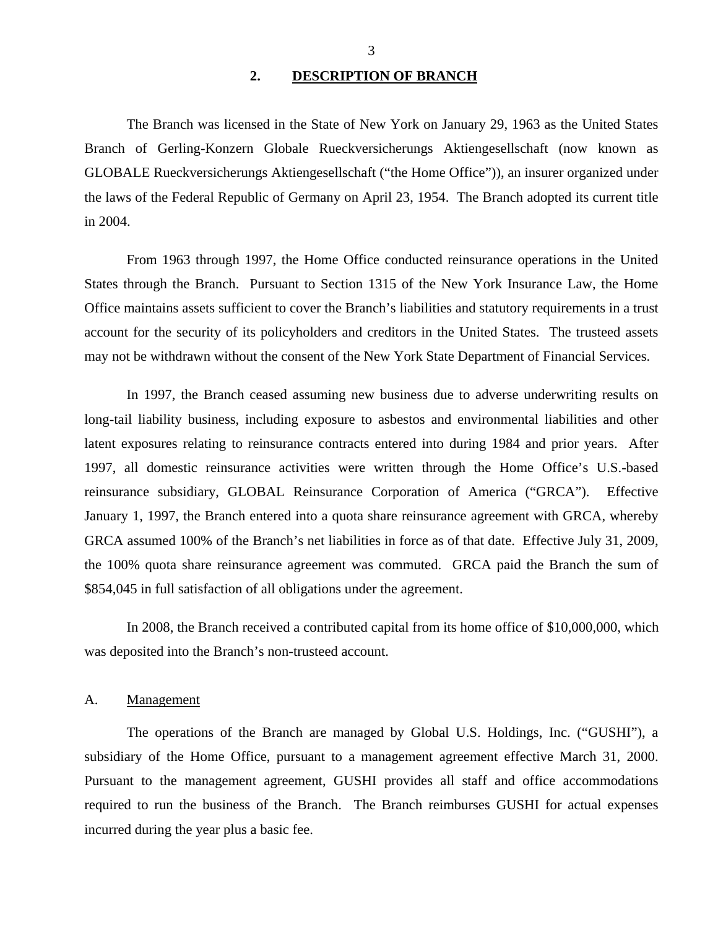### **2. DESCRIPTION OF BRANCH**

<span id="page-4-0"></span>The Branch was licensed in the State of New York on January 29, 1963 as the United States Branch of Gerling-Konzern Globale Rueckversicherungs Aktiengesellschaft (now known as GLOBALE Rueckversicherungs Aktiengesellschaft ("the Home Office")), an insurer organized under the laws of the Federal Republic of Germany on April 23, 1954. The Branch adopted its current title in 2004.

From 1963 through 1997, the Home Office conducted reinsurance operations in the United States through the Branch. Pursuant to Section 1315 of the New York Insurance Law, the Home Office maintains assets sufficient to cover the Branch's liabilities and statutory requirements in a trust account for the security of its policyholders and creditors in the United States. The trusteed assets may not be withdrawn without the consent of the New York State Department of Financial Services.

In 1997, the Branch ceased assuming new business due to adverse underwriting results on long-tail liability business, including exposure to asbestos and environmental liabilities and other latent exposures relating to reinsurance contracts entered into during 1984 and prior years. After 1997, all domestic reinsurance activities were written through the Home Office's U.S.-based reinsurance subsidiary, GLOBAL Reinsurance Corporation of America ("GRCA"). Effective January 1, 1997, the Branch entered into a quota share reinsurance agreement with GRCA, whereby GRCA assumed 100% of the Branch's net liabilities in force as of that date. Effective July 31, 2009, the 100% quota share reinsurance agreement was commuted. GRCA paid the Branch the sum of \$854,045 in full satisfaction of all obligations under the agreement.

In 2008, the Branch received a contributed capital from its home office of \$10,000,000, which was deposited into the Branch's non-trusteed account.

#### A. Management

The operations of the Branch are managed by Global U.S. Holdings, Inc. ("GUSHI"), a subsidiary of the Home Office, pursuant to a management agreement effective March 31, 2000. Pursuant to the management agreement, GUSHI provides all staff and office accommodations required to run the business of the Branch. The Branch reimburses GUSHI for actual expenses incurred during the year plus a basic fee.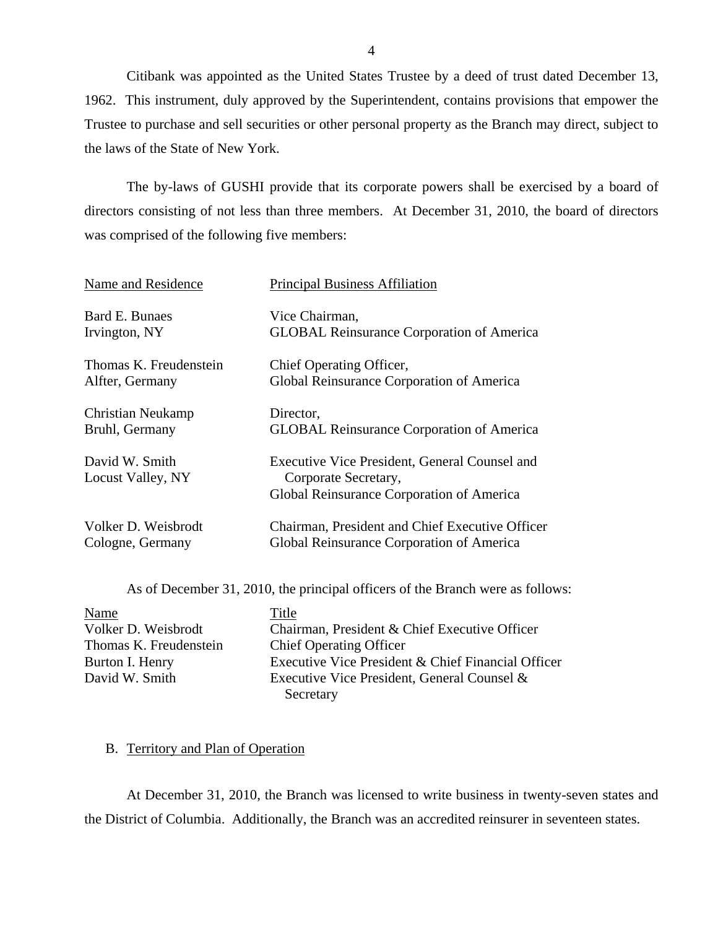<span id="page-5-0"></span>Citibank was appointed as the United States Trustee by a deed of trust dated December 13, 1962. This instrument, duly approved by the Superintendent, contains provisions that empower the Trustee to purchase and sell securities or other personal property as the Branch may direct, subject to the laws of the State of New York.

The by-laws of GUSHI provide that its corporate powers shall be exercised by a board of directors consisting of not less than three members. At December 31, 2010, the board of directors was comprised of the following five members:

| Name and Residence                  | <b>Principal Business Affiliation</b>                                                                              |
|-------------------------------------|--------------------------------------------------------------------------------------------------------------------|
| Bard E. Bunaes                      | Vice Chairman,                                                                                                     |
| Irvington, NY                       | <b>GLOBAL Reinsurance Corporation of America</b>                                                                   |
| Thomas K. Freudenstein              | Chief Operating Officer,                                                                                           |
| Alfter, Germany                     | Global Reinsurance Corporation of America                                                                          |
| Christian Neukamp                   | Director,                                                                                                          |
| Bruhl, Germany                      | <b>GLOBAL Reinsurance Corporation of America</b>                                                                   |
| David W. Smith<br>Locust Valley, NY | Executive Vice President, General Counsel and<br>Corporate Secretary,<br>Global Reinsurance Corporation of America |
| Volker D. Weisbrodt                 | Chairman, President and Chief Executive Officer                                                                    |
| Cologne, Germany                    | Global Reinsurance Corporation of America                                                                          |

As of December 31, 2010, the principal officers of the Branch were as follows:

| Name                   | Title                                              |
|------------------------|----------------------------------------------------|
| Volker D. Weisbrodt    | Chairman, President & Chief Executive Officer      |
| Thomas K. Freudenstein | <b>Chief Operating Officer</b>                     |
| Burton I. Henry        | Executive Vice President & Chief Financial Officer |
| David W. Smith         | Executive Vice President, General Counsel &        |
|                        | Secretary                                          |

## B. Territory and Plan of Operation

At December 31, 2010, the Branch was licensed to write business in twenty-seven states and the District of Columbia. Additionally, the Branch was an accredited reinsurer in seventeen states.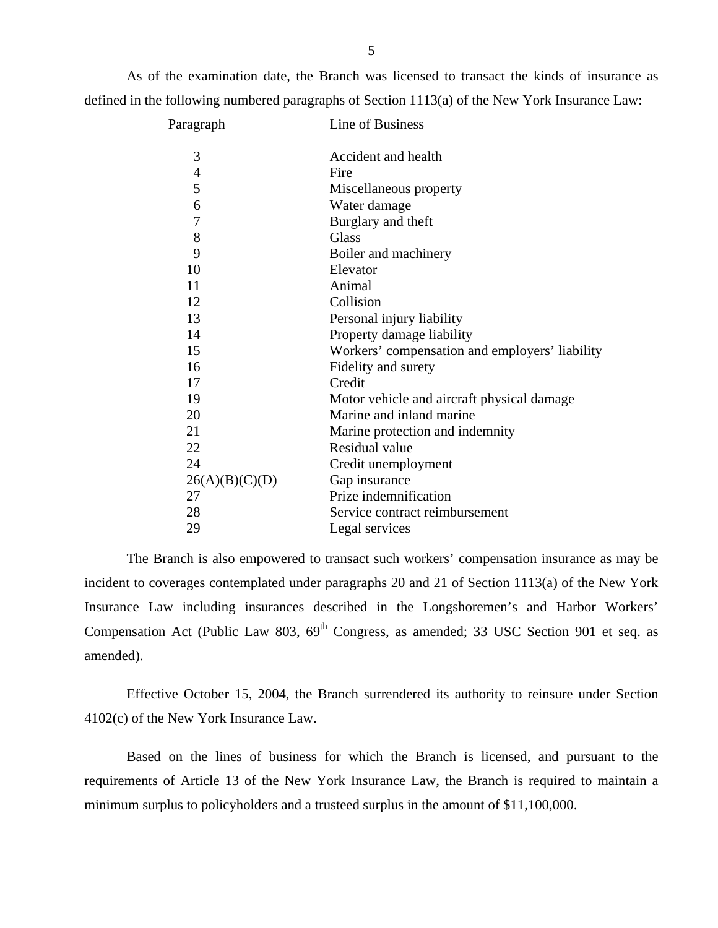As of the examination date, the Branch was licensed to transact the kinds of insurance as defined in the following numbered paragraphs of Section 1113(a) of the New York Insurance Law:

| Paragraph      | Line of Business                               |
|----------------|------------------------------------------------|
|                |                                                |
| 3              | Accident and health                            |
| $\overline{4}$ | Fire                                           |
| 5              | Miscellaneous property                         |
| 6              | Water damage                                   |
| $\overline{7}$ | Burglary and theft                             |
| 8              | <b>Glass</b>                                   |
| 9              | Boiler and machinery                           |
| 10             | Elevator                                       |
| 11             | Animal                                         |
| 12             | Collision                                      |
| 13             | Personal injury liability                      |
| 14             | Property damage liability                      |
| 15             | Workers' compensation and employers' liability |
| 16             | Fidelity and surety                            |
| 17             | Credit                                         |
| 19             | Motor vehicle and aircraft physical damage     |
| 20             | Marine and inland marine                       |
| 21             | Marine protection and indemnity                |
| 22             | Residual value                                 |
| 24             | Credit unemployment                            |
| 26(A)(B)(C)(D) | Gap insurance                                  |
| 27             | Prize indemnification                          |
| 28             | Service contract reimbursement                 |
| 29             | Legal services                                 |
|                |                                                |

The Branch is also empowered to transact such workers' compensation insurance as may be incident to coverages contemplated under paragraphs 20 and 21 of Section 1113(a) of the New York Insurance Law including insurances described in the Longshoremen's and Harbor Workers' Compensation Act (Public Law 803,  $69<sup>th</sup>$  Congress, as amended; 33 USC Section 901 et seq. as amended).

Effective October 15, 2004, the Branch surrendered its authority to reinsure under Section 4102(c) of the New York Insurance Law.

Based on the lines of business for which the Branch is licensed, and pursuant to the requirements of Article 13 of the New York Insurance Law, the Branch is required to maintain a minimum surplus to policyholders and a trusteed surplus in the amount of \$11,100,000.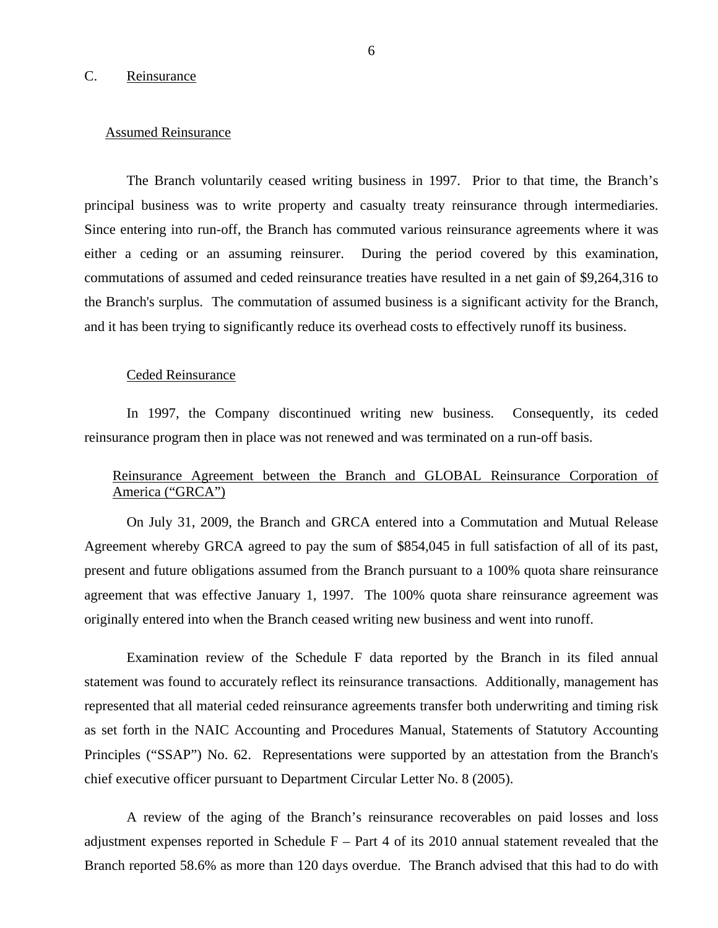#### <span id="page-7-0"></span>C. Reinsurance

#### Assumed Reinsurance

The Branch voluntarily ceased writing business in 1997. Prior to that time, the Branch's principal business was to write property and casualty treaty reinsurance through intermediaries. Since entering into run-off, the Branch has commuted various reinsurance agreements where it was either a ceding or an assuming reinsurer. During the period covered by this examination, commutations of assumed and ceded reinsurance treaties have resulted in a net gain of \$9,264,316 to the Branch's surplus. The commutation of assumed business is a significant activity for the Branch, and it has been trying to significantly reduce its overhead costs to effectively runoff its business.

#### Ceded Reinsurance

In 1997, the Company discontinued writing new business. Consequently, its ceded reinsurance program then in place was not renewed and was terminated on a run-off basis.

## Reinsurance Agreement between the Branch and GLOBAL Reinsurance Corporation of America ("GRCA")

On July 31, 2009, the Branch and GRCA entered into a Commutation and Mutual Release Agreement whereby GRCA agreed to pay the sum of \$854,045 in full satisfaction of all of its past, present and future obligations assumed from the Branch pursuant to a 100% quota share reinsurance agreement that was effective January 1, 1997. The 100% quota share reinsurance agreement was originally entered into when the Branch ceased writing new business and went into runoff.

Examination review of the Schedule F data reported by the Branch in its filed annual statement was found to accurately reflect its reinsurance transactions. Additionally, management has represented that all material ceded reinsurance agreements transfer both underwriting and timing risk as set forth in the NAIC Accounting and Procedures Manual, Statements of Statutory Accounting Principles ("SSAP") No. 62. Representations were supported by an attestation from the Branch's chief executive officer pursuant to Department Circular Letter No. 8 (2005).

A review of the aging of the Branch's reinsurance recoverables on paid losses and loss adjustment expenses reported in Schedule  $F - Part 4$  of its 2010 annual statement revealed that the Branch reported 58.6% as more than 120 days overdue. The Branch advised that this had to do with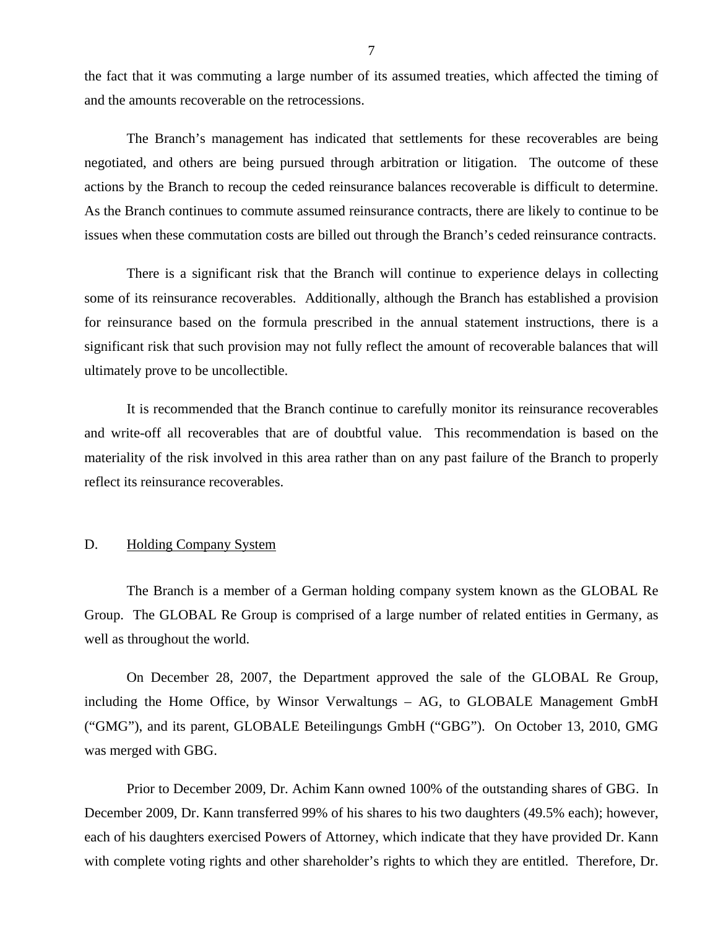<span id="page-8-0"></span>the fact that it was commuting a large number of its assumed treaties, which affected the timing of and the amounts recoverable on the retrocessions.

The Branch's management has indicated that settlements for these recoverables are being negotiated, and others are being pursued through arbitration or litigation. The outcome of these actions by the Branch to recoup the ceded reinsurance balances recoverable is difficult to determine. As the Branch continues to commute assumed reinsurance contracts, there are likely to continue to be issues when these commutation costs are billed out through the Branch's ceded reinsurance contracts.

There is a significant risk that the Branch will continue to experience delays in collecting some of its reinsurance recoverables. Additionally, although the Branch has established a provision for reinsurance based on the formula prescribed in the annual statement instructions, there is a significant risk that such provision may not fully reflect the amount of recoverable balances that will ultimately prove to be uncollectible.

It is recommended that the Branch continue to carefully monitor its reinsurance recoverables and write-off all recoverables that are of doubtful value. This recommendation is based on the materiality of the risk involved in this area rather than on any past failure of the Branch to properly reflect its reinsurance recoverables.

#### D. Holding Company System

The Branch is a member of a German holding company system known as the GLOBAL Re Group. The GLOBAL Re Group is comprised of a large number of related entities in Germany, as well as throughout the world.

On December 28, 2007, the Department approved the sale of the GLOBAL Re Group, including the Home Office, by Winsor Verwaltungs – AG, to GLOBALE Management GmbH ("GMG"), and its parent, GLOBALE Beteilingungs GmbH ("GBG"). On October 13, 2010, GMG was merged with GBG.

Prior to December 2009, Dr. Achim Kann owned 100% of the outstanding shares of GBG. In December 2009, Dr. Kann transferred 99% of his shares to his two daughters (49.5% each); however, each of his daughters exercised Powers of Attorney, which indicate that they have provided Dr. Kann with complete voting rights and other shareholder's rights to which they are entitled. Therefore, Dr.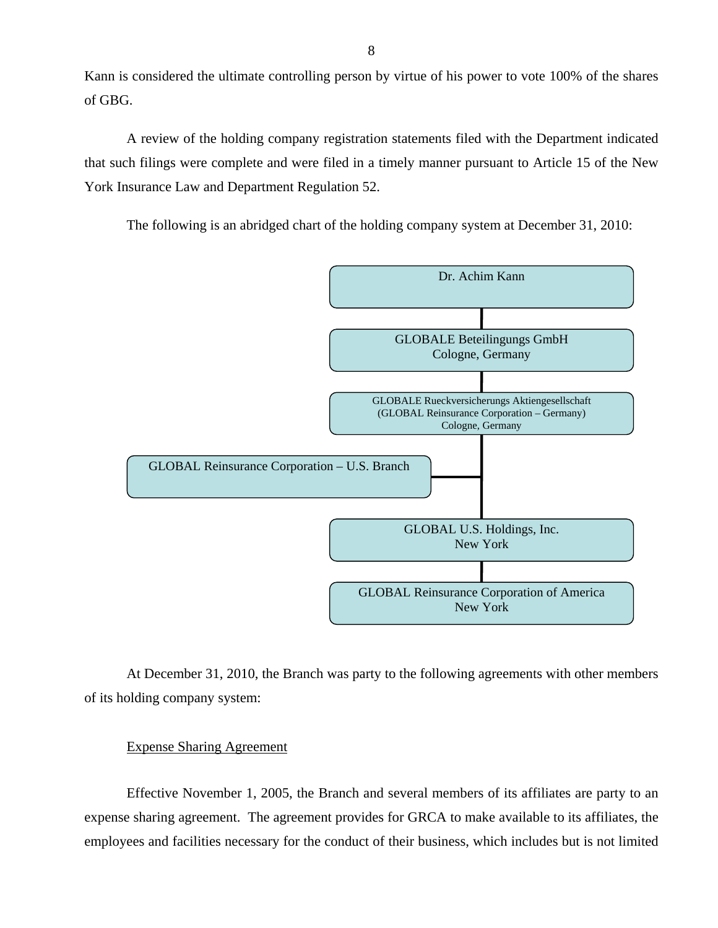Kann is considered the ultimate controlling person by virtue of his power to vote 100% of the shares of GBG.

A review of the holding company registration statements filed with the Department indicated that such filings were complete and were filed in a timely manner pursuant to Article 15 of the New York Insurance Law and Department Regulation 52.

The following is an abridged chart of the holding company system at December 31, 2010:



At December 31, 2010, the Branch was party to the following agreements with other members of its holding company system:

## Expense Sharing Agreement

Effective November 1, 2005, the Branch and several members of its affiliates are party to an expense sharing agreement. The agreement provides for GRCA to make available to its affiliates, the employees and facilities necessary for the conduct of their business, which includes but is not limited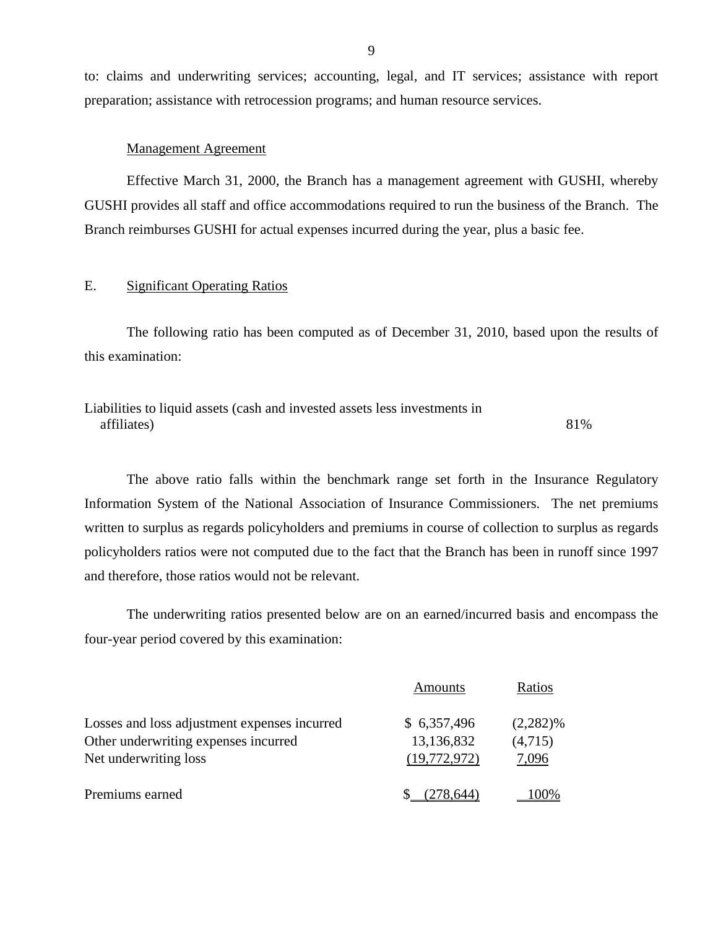to: claims and underwriting services; accounting, legal, and IT services; assistance with report preparation; assistance with retrocession programs; and human resource services.

#### Management Agreement

Effective March 31, 2000, the Branch has a management agreement with GUSHI, whereby GUSHI provides all staff and office accommodations required to run the business of the Branch. The Branch reimburses GUSHI for actual expenses incurred during the year, plus a basic fee.

## E. Significant Operating Ratios

The following ratio has been computed as of December 31, 2010, based upon the results of this examination:

Liabilities to liquid assets (cash and invested assets less investments in affiliates) 81%

The above ratio falls within the benchmark range set forth in the Insurance Regulatory Information System of the National Association of Insurance Commissioners. The net premiums written to surplus as regards policyholders and premiums in course of collection to surplus as regards policyholders ratios were not computed due to the fact that the Branch has been in runoff since 1997 and therefore, those ratios would not be relevant.

The underwriting ratios presented below are on an earned/incurred basis and encompass the four-year period covered by this examination:

|                                              | Amounts      | Ratios      |
|----------------------------------------------|--------------|-------------|
| Losses and loss adjustment expenses incurred | \$6,357,496  | $(2,282)\%$ |
| Other underwriting expenses incurred         | 13,136,832   | (4,715)     |
| Net underwriting loss                        | (19,772,972) | 7,096       |
| Premiums earned                              | .644)        | $(10\%)$    |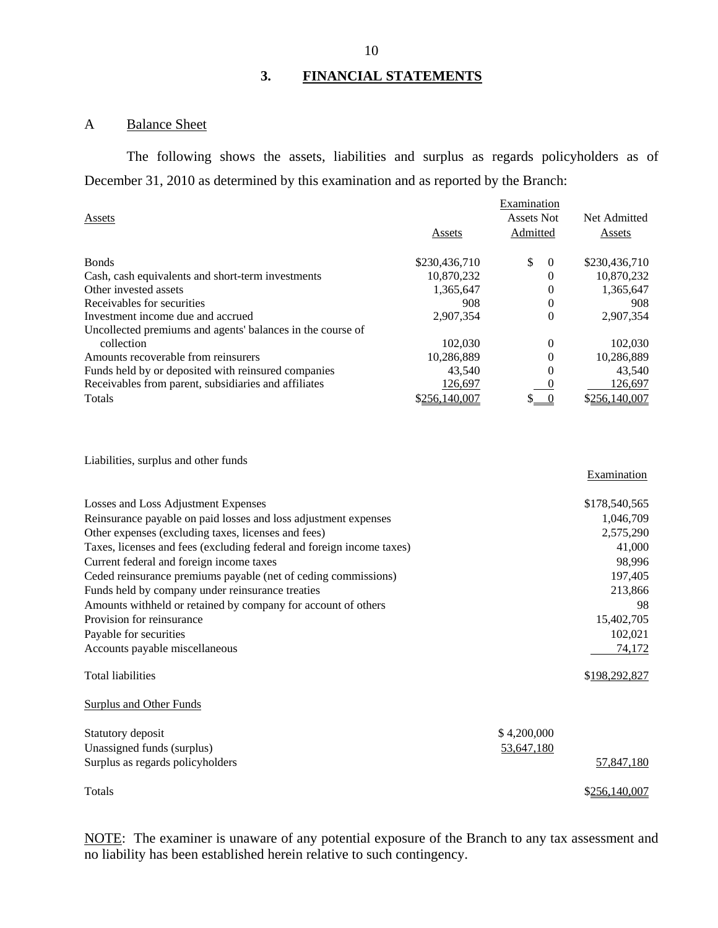# **3. FINANCIAL STATEMENTS**

# A Balance Sheet

The following shows the assets, liabilities and surplus as regards policyholders as of December 31, 2010 as determined by this examination and as reported by the Branch:

|                                                            |               | Examination       |               |
|------------------------------------------------------------|---------------|-------------------|---------------|
| Assets                                                     |               | <b>Assets Not</b> | Net Admitted  |
|                                                            | Assets        | Admitted          | Assets        |
| <b>Bonds</b>                                               | \$230,436,710 | \$<br>$\theta$    | \$230,436,710 |
| Cash, cash equivalents and short-term investments          | 10,870,232    | 0                 | 10,870,232    |
| Other invested assets                                      | 1,365,647     | 0                 | 1,365,647     |
| Receivables for securities                                 | 908           | $\theta$          | 908           |
| Investment income due and accrued                          | 2.907.354     | $\overline{0}$    | 2,907,354     |
| Uncollected premiums and agents' balances in the course of |               |                   |               |
| collection                                                 | 102,030       | $\theta$          | 102,030       |
| Amounts recoverable from reinsurers                        | 10,286,889    | $\Omega$          | 10,286,889    |
| Funds held by or deposited with reinsured companies        | 43.540        | 0                 | 43.540        |
| Receivables from parent, subsidiaries and affiliates       | 126,697       |                   | 126,697       |
| Totals                                                     | \$256,140,007 |                   | \$256,140,007 |

Liabilities, surplus and other funds

|                                                                       |             | <b>Examination</b> |
|-----------------------------------------------------------------------|-------------|--------------------|
| Losses and Loss Adjustment Expenses                                   |             | \$178,540,565      |
| Reinsurance payable on paid losses and loss adjustment expenses       |             | 1,046,709          |
| Other expenses (excluding taxes, licenses and fees)                   |             | 2,575,290          |
| Taxes, licenses and fees (excluding federal and foreign income taxes) |             | 41,000             |
| Current federal and foreign income taxes                              |             | 98,996             |
| Ceded reinsurance premiums payable (net of ceding commissions)        |             | 197,405            |
| Funds held by company under reinsurance treaties                      |             | 213,866            |
| Amounts withheld or retained by company for account of others         |             | 98                 |
| Provision for reinsurance                                             |             | 15,402,705         |
| Payable for securities                                                |             | 102,021            |
| Accounts payable miscellaneous                                        |             | 74,172             |
| <b>Total liabilities</b>                                              |             | \$198,292,827      |
| <b>Surplus and Other Funds</b>                                        |             |                    |
| Statutory deposit                                                     | \$4,200,000 |                    |
| Unassigned funds (surplus)                                            | 53,647,180  |                    |
| Surplus as regards policyholders                                      |             | 57,847,180         |
| Totals                                                                |             | \$256,140,007      |

NOTE: The examiner is unaware of any potential exposure of the Branch to any tax assessment and no liability has been established herein relative to such contingency.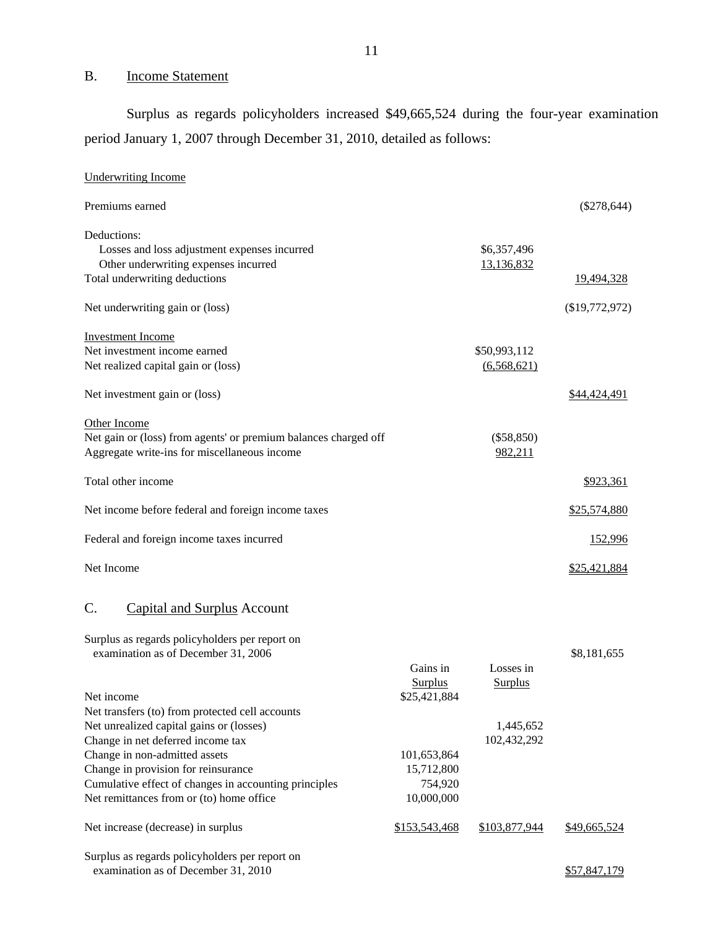## B. Income Statement

Surplus as regards policyholders increased \$49,665,524 during the four-year examination period January 1, 2007 through December 31, 2010, detailed as follows:

| <b>Underwriting Income</b>                                      |                |                |                  |
|-----------------------------------------------------------------|----------------|----------------|------------------|
| Premiums earned                                                 |                |                | $(\$278,644)$    |
| Deductions:                                                     |                |                |                  |
| Losses and loss adjustment expenses incurred                    |                | \$6,357,496    |                  |
| Other underwriting expenses incurred                            |                | 13,136,832     |                  |
| Total underwriting deductions                                   |                |                | 19,494,328       |
| Net underwriting gain or (loss)                                 |                |                | $(\$19,772,972)$ |
| <b>Investment Income</b>                                        |                |                |                  |
| Net investment income earned                                    |                | \$50,993,112   |                  |
| Net realized capital gain or (loss)                             |                | (6,568,621)    |                  |
| Net investment gain or (loss)                                   |                |                | \$44,424,491     |
| Other Income                                                    |                |                |                  |
| Net gain or (loss) from agents' or premium balances charged off |                | (\$58,850)     |                  |
| Aggregate write-ins for miscellaneous income                    |                | 982,211        |                  |
| Total other income                                              |                |                | \$923,361        |
| Net income before federal and foreign income taxes              |                |                | \$25,574,880     |
| Federal and foreign income taxes incurred                       |                |                | 152,996          |
| Net Income                                                      |                |                | \$25,421,884     |
| C.<br><b>Capital and Surplus Account</b>                        |                |                |                  |
| Surplus as regards policyholders per report on                  |                |                |                  |
| examination as of December 31, 2006                             |                |                | \$8,181,655      |
|                                                                 | Gains in       | Losses in      |                  |
|                                                                 | <b>Surplus</b> | <b>Surplus</b> |                  |
| Net income                                                      | \$25,421,884   |                |                  |
| Net transfers (to) from protected cell accounts                 |                |                |                  |
| Net unrealized capital gains or (losses)                        |                | 1,445,652      |                  |
| Change in net deferred income tax                               |                | 102,432,292    |                  |
| Change in non-admitted assets                                   | 101,653,864    |                |                  |
| Change in provision for reinsurance                             | 15,712,800     |                |                  |
| Cumulative effect of changes in accounting principles           | 754,920        |                |                  |
| Net remittances from or (to) home office                        | 10,000,000     |                |                  |
| Net increase (decrease) in surplus                              | \$153,543,468  | \$103,877,944  | \$49,665,524     |
| Surplus as regards policyholders per report on                  |                |                |                  |
| examination as of December 31, 2010                             |                |                | \$57,847,179     |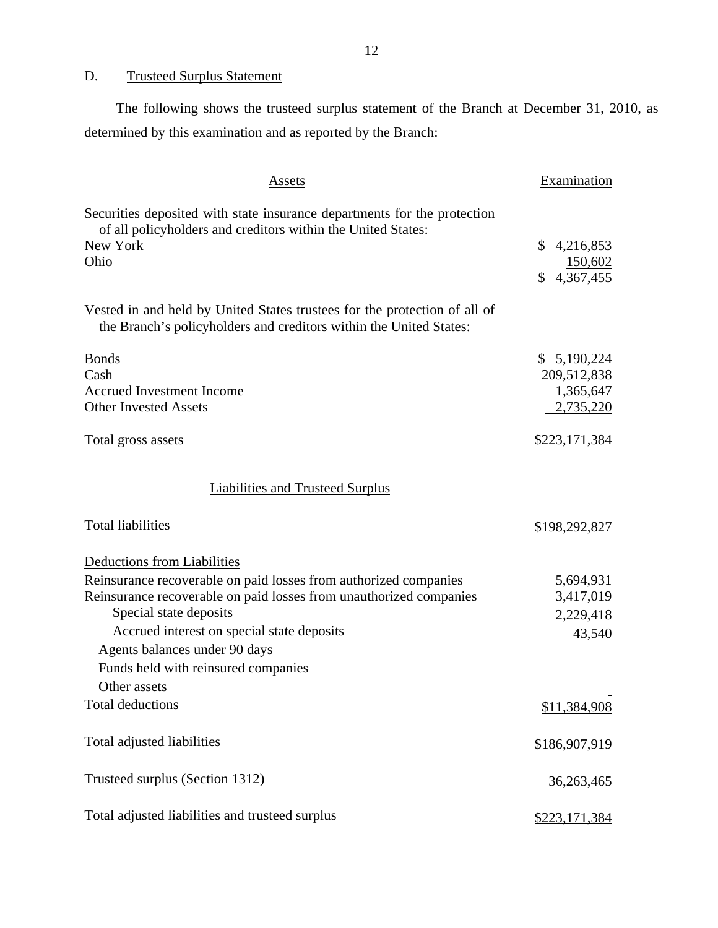<span id="page-13-0"></span>D. Trusteed Surplus Statement

The following shows the trusteed surplus statement of the Branch at December 31, 2010, as determined by this examination and as reported by the Branch:

| Assets                                                                                                                                                       | Examination                |
|--------------------------------------------------------------------------------------------------------------------------------------------------------------|----------------------------|
| Securities deposited with state insurance departments for the protection<br>of all policyholders and creditors within the United States:<br>New York<br>Ohio | \$<br>4,216,853<br>150,602 |
|                                                                                                                                                              | 4,367,455<br>\$            |
| Vested in and held by United States trustees for the protection of all of<br>the Branch's policyholders and creditors within the United States:              |                            |
| <b>Bonds</b>                                                                                                                                                 | \$5,190,224                |
| Cash                                                                                                                                                         | 209,512,838                |
| <b>Accrued Investment Income</b>                                                                                                                             | 1,365,647                  |
| <b>Other Invested Assets</b>                                                                                                                                 | 2,735,220                  |
| Total gross assets                                                                                                                                           | \$223,171,384              |
| Liabilities and Trusteed Surplus                                                                                                                             |                            |
| <b>Total liabilities</b>                                                                                                                                     | \$198,292,827              |
| Deductions from Liabilities                                                                                                                                  |                            |
| Reinsurance recoverable on paid losses from authorized companies                                                                                             | 5,694,931                  |
| Reinsurance recoverable on paid losses from unauthorized companies                                                                                           | 3,417,019                  |
| Special state deposits                                                                                                                                       | 2,229,418                  |
| Accrued interest on special state deposits                                                                                                                   | 43,540                     |
| Agents balances under 90 days                                                                                                                                |                            |
| Funds held with reinsured companies                                                                                                                          |                            |
| Other assets                                                                                                                                                 |                            |
| <b>Total deductions</b>                                                                                                                                      | \$11,384,908               |
| Total adjusted liabilities                                                                                                                                   | \$186,907,919              |
| Trusteed surplus (Section 1312)                                                                                                                              | 36,263,465                 |
| Total adjusted liabilities and trusteed surplus                                                                                                              | <u>\$223,171,384</u>       |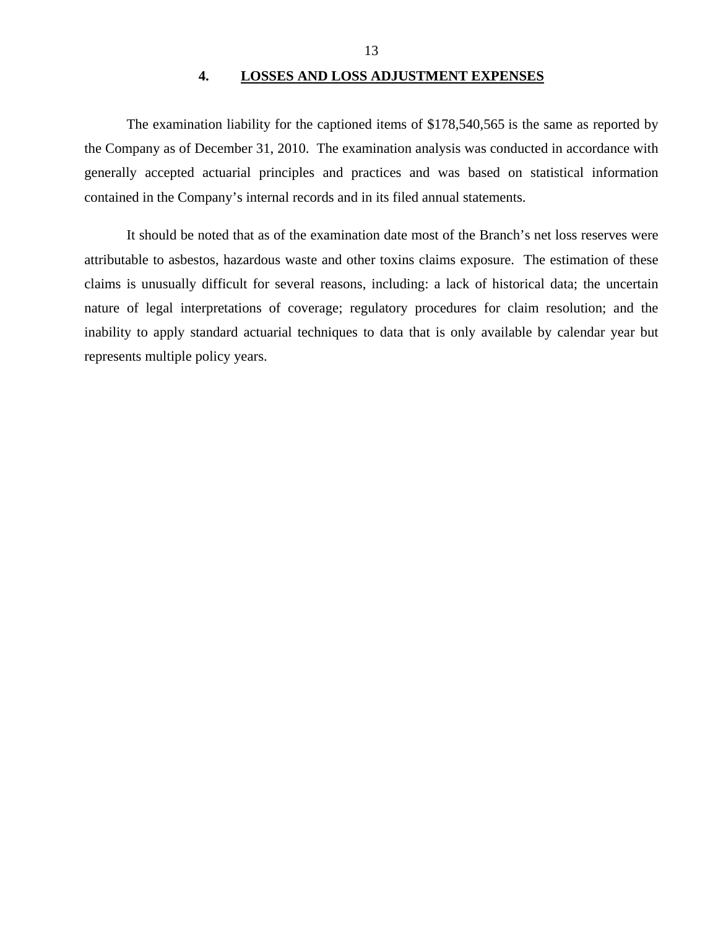#### **4. LOSSES AND LOSS ADJUSTMENT EXPENSES**

<span id="page-14-0"></span>The examination liability for the captioned items of \$178,540,565 is the same as reported by the Company as of December 31, 2010. The examination analysis was conducted in accordance with generally accepted actuarial principles and practices and was based on statistical information contained in the Company's internal records and in its filed annual statements.

It should be noted that as of the examination date most of the Branch's net loss reserves were attributable to asbestos, hazardous waste and other toxins claims exposure. The estimation of these claims is unusually difficult for several reasons, including: a lack of historical data; the uncertain nature of legal interpretations of coverage; regulatory procedures for claim resolution; and the inability to apply standard actuarial techniques to data that is only available by calendar year but represents multiple policy years.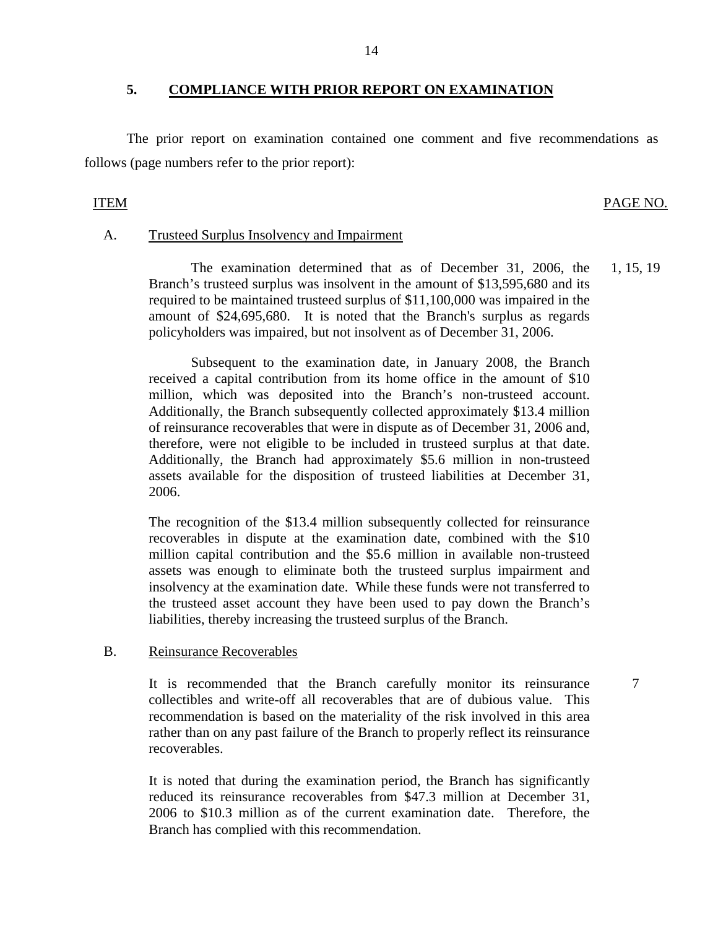### **5. COMPLIANCE WITH PRIOR REPORT ON EXAMINATION**

The prior report on examination contained one comment and five recommendations as follows (page numbers refer to the prior report):

## ITEM PAGE NO.

7

#### A. Trusteed Surplus Insolvency and Impairment

The examination determined that as of December 31, 2006, the Branch's trusteed surplus was insolvent in the amount of \$13,595,680 and its required to be maintained trusteed surplus of \$11,100,000 was impaired in the amount of \$24,695,680. It is noted that the Branch's surplus as regards policyholders was impaired, but not insolvent as of December 31, 2006. 1, 15, 19

Subsequent to the examination date, in January 2008, the Branch received a capital contribution from its home office in the amount of \$10 million, which was deposited into the Branch's non-trusteed account. Additionally, the Branch subsequently collected approximately \$13.4 million of reinsurance recoverables that were in dispute as of December 31, 2006 and, therefore, were not eligible to be included in trusteed surplus at that date. Additionally, the Branch had approximately \$5.6 million in non-trusteed assets available for the disposition of trusteed liabilities at December 31, 2006.

The recognition of the \$13.4 million subsequently collected for reinsurance recoverables in dispute at the examination date, combined with the \$10 million capital contribution and the \$5.6 million in available non-trusteed assets was enough to eliminate both the trusteed surplus impairment and insolvency at the examination date. While these funds were not transferred to the trusteed asset account they have been used to pay down the Branch's liabilities, thereby increasing the trusteed surplus of the Branch.

## B. Reinsurance Recoverables

It is recommended that the Branch carefully monitor its reinsurance collectibles and write-off all recoverables that are of dubious value. This recommendation is based on the materiality of the risk involved in this area rather than on any past failure of the Branch to properly reflect its reinsurance recoverables.

It is noted that during the examination period, the Branch has significantly reduced its reinsurance recoverables from \$47.3 million at December 31, 2006 to \$10.3 million as of the current examination date. Therefore, the Branch has complied with this recommendation.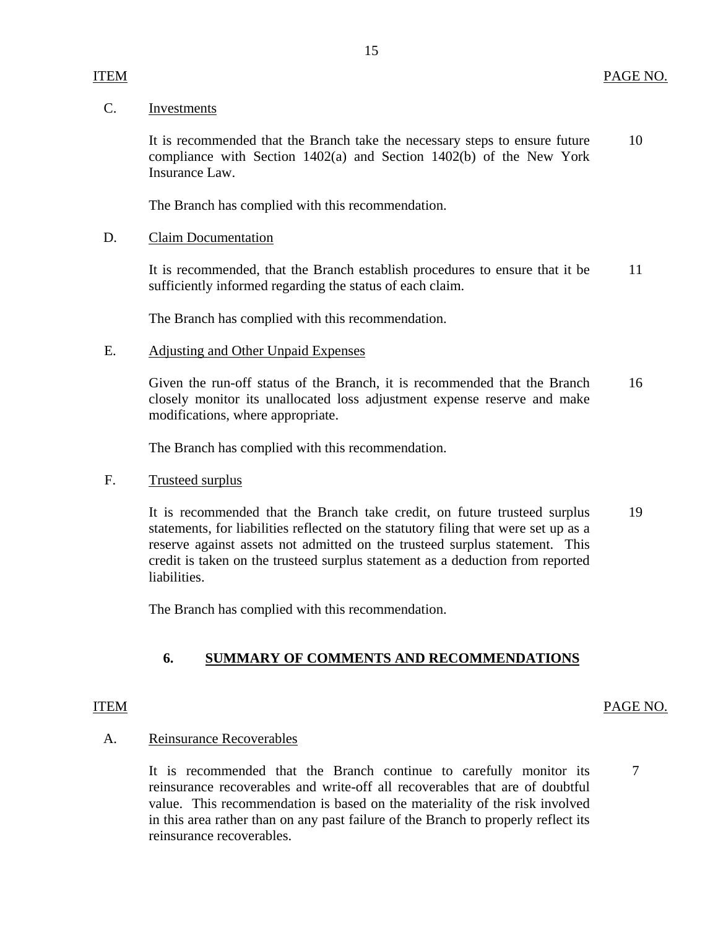### C. Investments

10 It is recommended that the Branch take the necessary steps to ensure future compliance with Section  $1402(a)$  and Section  $1402(b)$  of the New York Insurance Law.

The Branch has complied with this recommendation.

## D. Claim Documentation

It is recommended, that the Branch establish procedures to ensure that it be 11 sufficiently informed regarding the status of each claim.

The Branch has complied with this recommendation.

## E. Adjusting and Other Unpaid Expenses

Given the run-off status of the Branch, it is recommended that the Branch 16 closely monitor its unallocated loss adjustment expense reserve and make modifications, where appropriate.

The Branch has complied with this recommendation.

### F. Trusteed surplus

It is recommended that the Branch take credit, on future trusteed surplus 19 statements, for liabilities reflected on the statutory filing that were set up as a reserve against assets not admitted on the trusteed surplus statement. This credit is taken on the trusteed surplus statement as a deduction from reported liabilities.

The Branch has complied with this recommendation.

## **6. SUMMARY OF COMMENTS AND RECOMMENDATIONS**

## ITEM PAGE NO.

7

## A. Reinsurance Recoverables

It is recommended that the Branch continue to carefully monitor its reinsurance recoverables and write-off all recoverables that are of doubtful value. This recommendation is based on the materiality of the risk involved in this area rather than on any past failure of the Branch to properly reflect its reinsurance recoverables.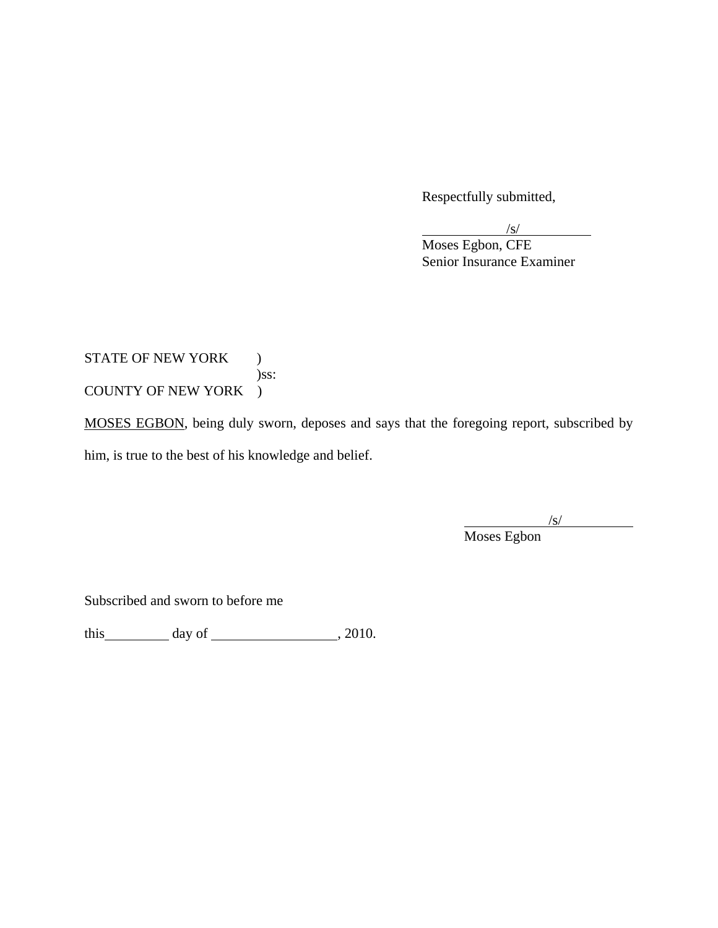Respectfully submitted,

 $\sqrt{s}$ 

 Moses Egbon, CFE Senior Insurance Examiner

STATE OF NEW YORK ) )ss: COUNTY OF NEW YORK )

MOSES EGBON, being duly sworn, deposes and says that the foregoing report, subscribed by

him, is true to the best of his knowledge and belief.

/s/

Moses Egbon

Subscribed and sworn to before me

this  $\qquad \qquad \text{day of} \qquad \qquad 2010.$